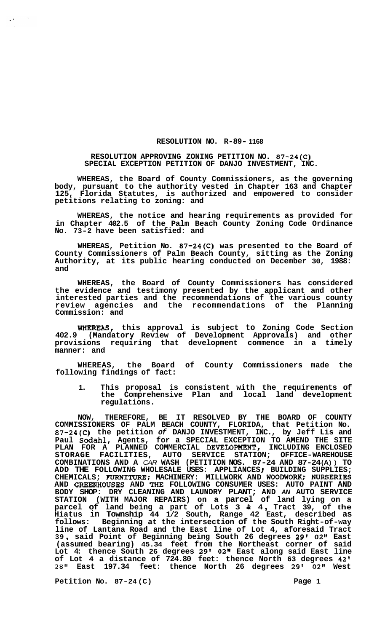## **RESOLUTION NO. R-89- 1168**

## **RESOLUTION APPROVING ZONING PETITION NO. 87-24(C) SPECIAL EXCEPTION PETITION OF DANJO INVESTMENT, INC.**

**WHEREAS, the Board of County Commissioners, as the governing body, pursuant to the authority vested in Chapter 163 and Chapter 125, Florida Statutes, is authorized and empowered to consider petitions relating to zoning: and** 

**WHEREAS, the notice and hearing requirements as provided for in Chapter 402.5 of the Palm Beach County Zoning Code Ordinance No. 73-2 have been satisfied: and** 

**WHEREAS, Petition No. 87-24(C) was presented to the Board of County Commissioners of Palm Beach County, sitting as the Zoning Authority, at its public hearing conducted on December 30, 1988: and** 

**WHEREAS, the Board of County Commissioners has considered the evidence and testimony presented by the applicant and other interested parties and the recommendations of the various county review agencies and the recommendations of the Planning Commission: and** 

WHEREAS, **this approval is subject to Zoning Code Section 402.9 (Mandatory Review of Development Approvals) and other provisions requiring that development commence in a timely manner: and** 

**WHEREAS, the Board of County Commissioners made the following findings of fact:** 

**1. This proposal is consistent with the requirements of the Comprehensive Plan and local land development regulations.** 

**NOW, THEREFORE, BE IT RESOLVED BY THE BOARD OF COUNTY COMMISSIONERS OF PALM BEACH COUNTY, FLORIDA, that Petition No. 87-24(C) the petition** *of* **DANJO INVESTMENT, INC., by Jeff Lis and Paul Sodahl, Agents, for a SPECIAL EXCEPTION TO AMEND THE SITE PLAN FOR A PLANNED COMMERCIAL DEVEIOFWENT, INCLUDING ENCLOSED STORAGE FACILITIES, AUTO SERVICE STATION; OFFICE-WAREHOUSE COMBINATIONS AND A** *CAR* **WASH (PETITION NOS. 87-24 AND 87-24 (A)** ) **TO ADD THE FOLLOWING WHOLESALE USES: APPLIANCES** ; **BUILDING SUPPLIES; CHEMICALS; FURNITURE; MACHINERY: MILLWORK AND WOODWORK; NURSERIES AND GREEMIOUSES AND** *THE* **FOLLOWING CONSUMER USES: AUTO PAINT AND BODY SHOP: DRY CLEANING AND LAUNDRY PLANT; AND** *AN* **AUTO SERVICE STATION (WITH MAJOR REPAIRS) on a parcel of land lying on a parcel of land being a part of Lots 3** & **<sup>4</sup>**, **Tract 39, of the Hiatus in Township 44 1/2 South, Range 42 East, described as follows: Beginning at the intersection of the South Right-of-way line of Lantana Road and the East line of Lot 4, aforesaid Tract <sup>39</sup>**, **said Point of Beginning being South 26 degrees 29'** *02"* **East (assumed bearing) 45.34 feet from the Northeast corner of said Lot 4: thence South 26 degrees 29' 02" East along said East line of Lot 4 a distance of 724.80 feet: thence North 63 degrees 42' 28" East 197.34 feet: thence North 26 degrees 29' 02" West** 

**Petition No. 87-24 (C) Page 1**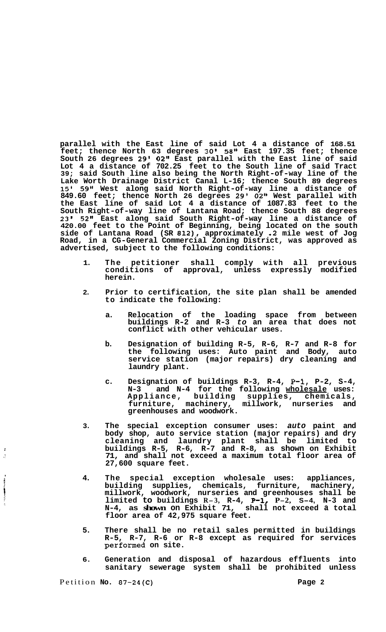**parallel with the East line of said Lot 4 a distance of 168.51 feet; thence North 63 degrees 30' 58" East 197.35 feet; thence South 26 degrees 29' 02" East parallel with the East line of said Lot 4 a distance of 702.25 feet to the South line of said Tract 39; said South line also being the North Right-of-way line of the Lake Worth Drainage District Canal L-16; thence South 89 degrees**  15I **59" West along said North Right-of-way line a distance of 849.60 feet; thence North 26 degrees 29' 02" West parallel with the East line of said Lot 4 a distance of 1087.83 feet to the South Right-of-way line of Lantana Road; thence South 88 degrees 23' 52" East along said South Right-of-way line a distance of 420.00 feet to the Point of Beginning, being located on the south side of Lantana Road (SR 812), approximately .2 mile west of Jog Road, in a CG-General Commercial Zoning District, was approved as advertised, subject to the following conditions:** 

- **1. The petitioner shall comply with all previous conditions of approval, unless expressly modified herein.**
- **2. Prior to certification, the site plan shall be amended to indicate the following:** 
	- **a. Relocation of the loading space from between buildings R-2 and R-3** *to* **an area that does not conflict with other vehicular uses.**
	- **b. Designation of building R-5, R-6, R-7 and R-8 for the following uses: Auto paint and Body, auto service station (major repairs) dry cleaning and laundry plant.**
	- **c. Designation of buildings R-3, R-4, P-1, P-2, S-4, N-3 and N-4 for the following wholesale uses: Appliance, building supplies, chemicals, furniture, machinery, millwork, nurseries and greenhouses and woodwork.**
- **3. The special exception consumer uses:** *auto* **paint and body shop, auto service station (major repairs) and dry cleaning and laundry plant shall be limited to buildings R-5, R-6, R-7 and R-8, as shown on Exhibit 71, and shall not exceed a maximum total floor area of 27,600 square feet.**
- **4. The special exception wholesale uses: appliances, building supplies, chemicals, furniture, machinery, millwork, woodwork, nurseries and greenhouses shall be limited to buildings R-3, R-4, P-1, P-2, S-4, N-3 and N-4, as shown on Exhibit 71, shall not exceed a total floor area of 42,975 square feet.**
- **5. There shall be no retail sales permitted in buildings R-5, R-7, R-6 or R-8 except as required for services performed on site.**
- **6. Generation and disposal of hazardous effluents into sanitary sewerage system shall be prohibited unless**

**CONTROL COMMUNISTICATION** 

 $\cdot$  $\mathcal{L}$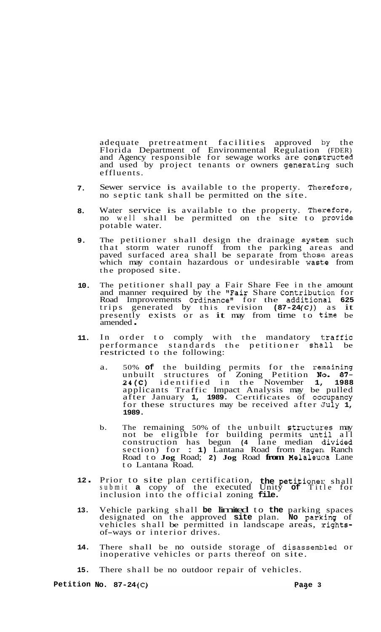adequate pretreatment facilities approved by the Florida Department of Environmental Regulation (FDER) and Agency responsible for sewage works are constructed and used by project tenants or owners generating such effluents.

- **7.**  Sewer service is available to the property. Therefore, no septic tank shall be permitted on the site.
- **8.**  Water service is available to the property. Therefore, no well shall be permitted on the site to provide potable water.
- **9.**  The petitioner shall design the drainage system such that storm water runoff from the parking areas and paved surfaced area shall be separate from those areas which may contain hazardous or undesirable waste from the proposed site.
- **10.**  The petitioner shall pay a Fair Share Fee in the amount and manner required by the "Fair Share Contribution for Road Improvements Ordinance" for the addition'al **625**  trips generated by this revision **(87-24** *(C)* ) as it trips generated by this revision (87–24(C)) as it<br>presently exists or as it may from time to time be presently<br>amended .
- **11.**  In order to comply with the mandatory traffic performance standards the petitioner shall be restricted to the following:
	- a. 50% **of** the building permits for the remaining unbuilt structures of Zoning Petition No. 87-**24(C)** identified in the November **1, 1988**  applicants Traffic Impact Analysis may be pulled after January **1, 1989.** Certificates of occzupancy for these structures may be received after July **1, 1989.**
	- b. The remaining 50% of the unbuilt structures may not be eligible for building permits until all construction has begun **(4** lane median divided section) for : **1)** Lantana Road from Hagen Ranch Road to **Jog** Road; **2) Jog** Road **from** Melaleuca Lane to Lantana Road.
- **<sup>12</sup>**. Prior to site plan certification, the petitioner shall submit **a** copy of the executed Unity **of** Title for inclusion into the official zoning **file.**
- **13.**  Vehicle parking shall **be** limited to **the** parking spaces designated on the approved **site** plan. **No** parkling of vehicles shall be permitted in landscape areas, rights-<br>of-ways or interior drives.
- **14.**  There shall be no outside storage of disassemhled or increased in the causing storage of disass-<br>inoperative vehicles or parts thereof on site.
- **15.**  There shall be no outdoor repair of vehicles.

**Petition No.** 87-24(C) **Page 3**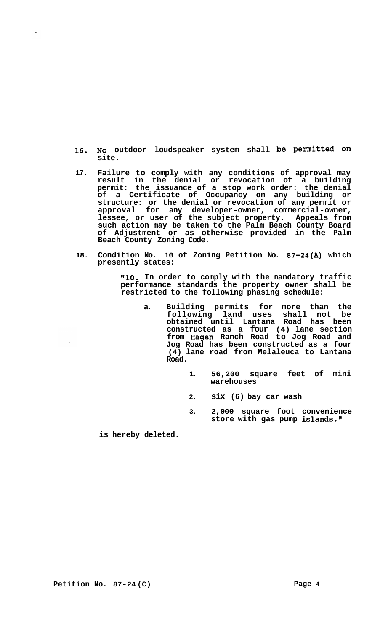- **16. NO outdoor loudspeaker system shall be Permitted on site.**
- **17. Failure to comply with any conditions of approval may result in the denial or revocation of a building permit: the issuance of a stop work order: the denial of a Certificate of Occupancy on any building or structure: or the denial or revocation of any permit or approval for any developer-owner, commercial-owner, lessee, or user of the subject property. Appeals from such action may be taken to the Palm Beach County Board of Adjustment or as otherwise provided in the Palm Beach County Zoning Code.**
- **18. Condition No. 10 of Zoning Petition No. 87-24(A) which presently states:**

**"10. In order to comply with the mandatory traffic performance standards the property owner shall be restricted to the following phasing schedule:** 

- **a. Building permits for more than the following land uses shall not be obtained until Lantana Road has been constructed as a four (4) lane section from Hagen Ranch Road to Jog Road and Jog Road has been constructed as a four (4) lane road from Melaleuca to Lantana Road.** 
	- **1. 56,200 square feet of mini warehouses**
	- **2. six (6) bay car wash**
	- **3. 2,000 square foot convenience store with gas pump islands."**

**is hereby deleted.**